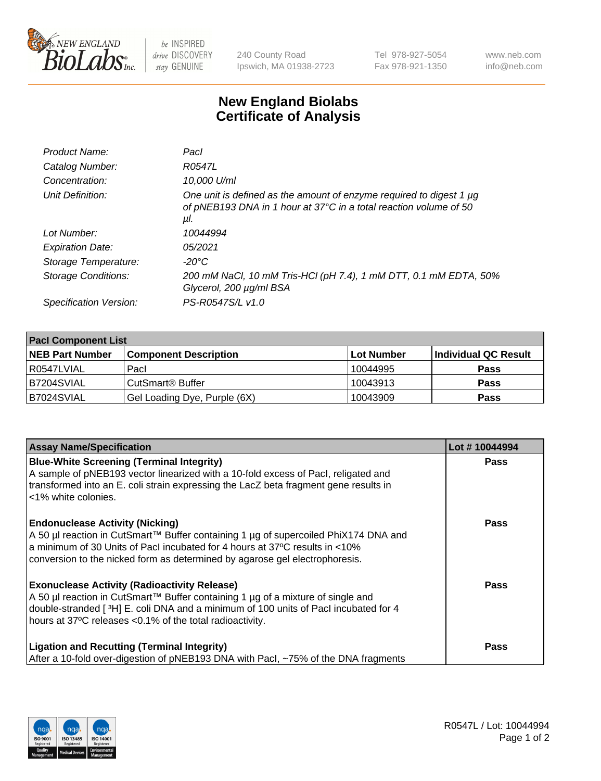

 $be$  INSPIRED drive DISCOVERY stay GENUINE

240 County Road Ipswich, MA 01938-2723 Tel 978-927-5054 Fax 978-921-1350 www.neb.com info@neb.com

## **New England Biolabs Certificate of Analysis**

| Product Name:              | Pacl                                                                                                                                            |
|----------------------------|-------------------------------------------------------------------------------------------------------------------------------------------------|
| Catalog Number:            | R0547L                                                                                                                                          |
| Concentration:             | 10,000 U/ml                                                                                                                                     |
| Unit Definition:           | One unit is defined as the amount of enzyme required to digest 1 µg<br>of pNEB193 DNA in 1 hour at 37°C in a total reaction volume of 50<br>μl. |
| Lot Number:                | 10044994                                                                                                                                        |
| <b>Expiration Date:</b>    | 05/2021                                                                                                                                         |
| Storage Temperature:       | $-20^{\circ}$ C                                                                                                                                 |
| <b>Storage Conditions:</b> | 200 mM NaCl, 10 mM Tris-HCl (pH 7.4), 1 mM DTT, 0.1 mM EDTA, 50%<br>Glycerol, 200 µg/ml BSA                                                     |
| Specification Version:     | PS-R0547S/L v1.0                                                                                                                                |

| <b>Pacl Component List</b> |                              |             |                      |  |  |
|----------------------------|------------------------------|-------------|----------------------|--|--|
| <b>NEB Part Number</b>     | <b>Component Description</b> | ∣Lot Number | Individual QC Result |  |  |
| I R0547LVIAL               | Pacl                         | 10044995    | <b>Pass</b>          |  |  |
| B7204SVIAL                 | CutSmart <sup>®</sup> Buffer | 10043913    | <b>Pass</b>          |  |  |
| B7024SVIAL                 | Gel Loading Dye, Purple (6X) | 10043909    | <b>Pass</b>          |  |  |

| <b>Assay Name/Specification</b>                                                                                                                                                                                                                                                             | Lot #10044994 |
|---------------------------------------------------------------------------------------------------------------------------------------------------------------------------------------------------------------------------------------------------------------------------------------------|---------------|
| <b>Blue-White Screening (Terminal Integrity)</b><br>A sample of pNEB193 vector linearized with a 10-fold excess of Pacl, religated and<br>transformed into an E. coli strain expressing the LacZ beta fragment gene results in<br>l <1% white colonies.                                     | <b>Pass</b>   |
| <b>Endonuclease Activity (Nicking)</b><br>A 50 µl reaction in CutSmart™ Buffer containing 1 µg of supercoiled PhiX174 DNA and<br>a minimum of 30 Units of Pacl incubated for 4 hours at 37°C results in <10%<br>conversion to the nicked form as determined by agarose gel electrophoresis. | <b>Pass</b>   |
| <b>Exonuclease Activity (Radioactivity Release)</b><br>  A 50 µl reaction in CutSmart™ Buffer containing 1 µg of a mixture of single and<br>double-stranded [3H] E. coli DNA and a minimum of 100 units of Pacl incubated for 4<br>hours at 37°C releases <0.1% of the total radioactivity. | <b>Pass</b>   |
| <b>Ligation and Recutting (Terminal Integrity)</b><br>After a 10-fold over-digestion of pNEB193 DNA with Pacl, ~75% of the DNA fragments                                                                                                                                                    | Pass          |